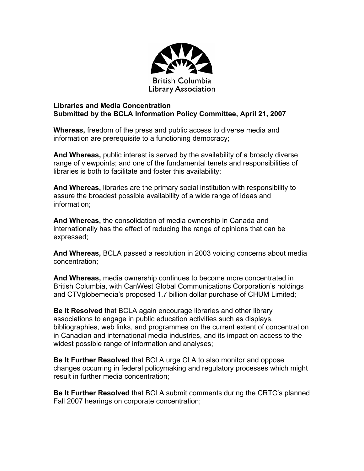

## **Libraries and Media Concentration Submitted by the BCLA Information Policy Committee, April 21, 2007**

**Whereas,** freedom of the press and public access to diverse media and information are prerequisite to a functioning democracy;

**And Whereas,** public interest is served by the availability of a broadly diverse range of viewpoints; and one of the fundamental tenets and responsibilities of libraries is both to facilitate and foster this availability;

**And Whereas,** libraries are the primary social institution with responsibility to assure the broadest possible availability of a wide range of ideas and information;

**And Whereas,** the consolidation of media ownership in Canada and internationally has the effect of reducing the range of opinions that can be expressed;

**And Whereas,** BCLA passed a resolution in 2003 voicing concerns about media concentration;

**And Whereas,** media ownership continues to become more concentrated in British Columbia, with CanWest Global Communications Corporation's holdings and CTVglobemedia's proposed 1.7 billion dollar purchase of CHUM Limited;

**Be It Resolved** that BCLA again encourage libraries and other library associations to engage in public education activities such as displays, bibliographies, web links, and programmes on the current extent of concentration in Canadian and international media industries, and its impact on access to the widest possible range of information and analyses;

**Be It Further Resolved** that BCLA urge CLA to also monitor and oppose changes occurring in federal policymaking and regulatory processes which might result in further media concentration;

**Be It Further Resolved** that BCLA submit comments during the CRTC's planned Fall 2007 hearings on corporate concentration;